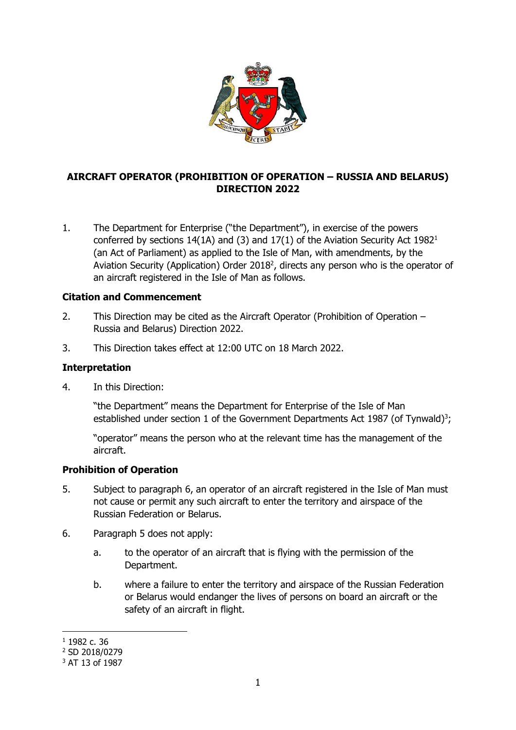

## **AIRCRAFT OPERATOR (PROHIBITION OF OPERATION – RUSSIA AND BELARUS) DIRECTION 2022**

1. The Department for Enterprise ("the Department"), in exercise of the powers conferred by sections 14(1A) and (3) and 17(1) of the Aviation Security Act 1982<sup>1</sup> (an Act of Parliament) as applied to the Isle of Man, with amendments, by the Aviation Security (Application) Order 2018<sup>2</sup>, directs any person who is the operator of an aircraft registered in the Isle of Man as follows.

## **Citation and Commencement**

- 2. This Direction may be cited as the Aircraft Operator (Prohibition of Operation Russia and Belarus) Direction 2022.
- 3. This Direction takes effect at 12:00 UTC on 18 March 2022.

## **Interpretation**

4. In this Direction:

"the Department" means the Department for Enterprise of the Isle of Man established under section 1 of the Government Departments Act 1987 (of Tynwald)<sup>3</sup>;

"operator" means the person who at the relevant time has the management of the aircraft.

## **Prohibition of Operation**

- 5. Subject to paragraph 6, an operator of an aircraft registered in the Isle of Man must not cause or permit any such aircraft to enter the territory and airspace of the Russian Federation or Belarus.
- 6. Paragraph 5 does not apply:
	- a. to the operator of an aircraft that is flying with the permission of the Department.
	- b. where a failure to enter the territory and airspace of the Russian Federation or Belarus would endanger the lives of persons on board an aircraft or the safety of an aircraft in flight.

**<sup>.</sup>** <sup>1</sup> 1982 c. 36

<sup>2</sup> SD 2018/0279

<sup>3</sup> AT 13 of 1987